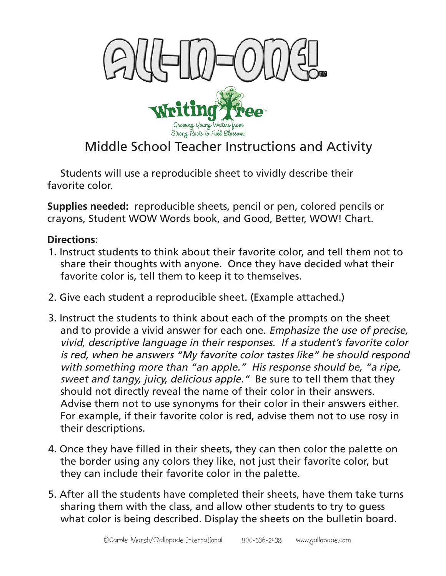

## Middle School Teacher Instructions and Activity

Students will use a reproducible sheet to vividly describe their favorite color.

**Supplies needed:** reproducible sheets, pencil or pen, colored pencils or crayons, Student WOW Words book, and Good, Better, WOW! Chart.

## **Directions:**

- 1. Instruct students to think about their favorite color, and tell them not to share their thoughts with anyone. Once they have decided what their favorite color is, tell them to keep it to themselves.
- 2. Give each student a reproducible sheet. (Example attached.)
- 3. Instruct the students to think about each of the prompts on the sheet and to provide a vivid answer for each one. Emphasize the use of precise, vivid, descriptive language in their responses. If a student's favorite color is red, when he answers "My favorite color tastes like" he should respond with something more than "an apple." His response should be, "a ripe, sweet and tangy, juicy, delicious apple." Be sure to tell them that they should not directly reveal the name of their color in their answers. Advise them not to use synonyms for their color in their answers either. For example, if their favorite color is red, advise them not to use rosy in their descriptions.
- 4. Once they have filled in their sheets, they can then color the palette on the border using any colors they like, not just their favorite color, but they can include their favorite color in the palette.
- 5. After all the students have completed their sheets, have them take turns sharing them with the class, and allow other students to try to guess what color is being described. Display the sheets on the bulletin board.